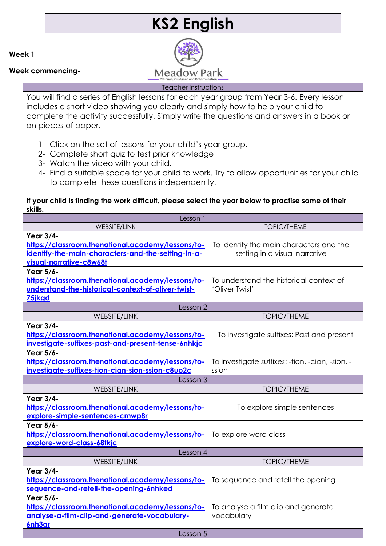# **KS2 English**

**Week 1**

**Week commencing-**



### Teacher instructions

You will find a series of English lessons for each year group from Year 3-6. Every lesson includes a short video showing you clearly and simply how to help your child to complete the activity successfully. Simply write the questions and answers in a book or on pieces of paper.

- 1- Click on the set of lessons for your child's year group.
- 2- Complete short quiz to test prior knowledge
- 3- Watch the video with your child.
- 4- Find a suitable space for your child to work. Try to allow opportunities for your child to complete these questions independently.

# **If your child is finding the work difficult, please select the year below to practise some of their skills.**

| Lesson                                                                                                                                          |                                                                          |  |
|-------------------------------------------------------------------------------------------------------------------------------------------------|--------------------------------------------------------------------------|--|
| <b>WEBSITE/LINK</b>                                                                                                                             | <b>TOPIC/THEME</b>                                                       |  |
| Year 3/4-<br>https://classroom.thenational.academy/lessons/to-<br>identify-the-main-characters-and-the-setting-in-a-<br>visual-narrative-c8w68t | To identify the main characters and the<br>setting in a visual narrative |  |
| Year 5/6-<br>https://classroom.thenational.academy/lessons/to-<br>understand-the-historical-context-of-oliver-twist-<br>75 kgd                  | To understand the historical context of<br>'Oliver Twist'                |  |
| Lesson 2                                                                                                                                        |                                                                          |  |
| <b>WEBSITE/LINK</b>                                                                                                                             | <b>TOPIC/THEME</b>                                                       |  |
| Year 3/4-<br>https://classroom.thenational.academy/lessons/to-<br>investigate-suffixes-past-and-present-tense-6nhkjc                            | To investigate suffixes: Past and present                                |  |
| Year 5/6-<br>https://classroom.thenational.academy/lessons/to-<br>investigate-suffixes-tion-cian-sion-ssion-c8up2c                              | To investigate suffixes: -tion, -cian, -sion, -<br>ssion                 |  |
| Lesson 3                                                                                                                                        |                                                                          |  |
| <b>WEBSITE/LINK</b>                                                                                                                             | <b>TOPIC/THEME</b>                                                       |  |
| Year 3/4-<br>https://classroom.thenational.academy/lessons/to-<br>explore-simple-sentences-cmwp8r                                               | To explore simple sentences                                              |  |
| Year 5/6-<br>https://classroom.thenational.academy/lessons/to-<br>explore-word-class-68tkjc                                                     | To explore word class                                                    |  |
| Lesson 4                                                                                                                                        |                                                                          |  |
| WEBSITE/LINK                                                                                                                                    | <b>TOPIC/THEME</b>                                                       |  |
| Year 3/4-<br>https://classroom.thenational.academy/lessons/to-<br>sequence-and-retell-the-opening-6nhked                                        | To sequence and retell the opening                                       |  |
| Year 5/6-<br>https://classroom.thenational.academy/lessons/to-<br>analyse-a-film-clip-and-generate-vocabulary-<br>6nh3gr                        | To analyse a film clip and generate<br>vocabulary                        |  |
| Lesson 5                                                                                                                                        |                                                                          |  |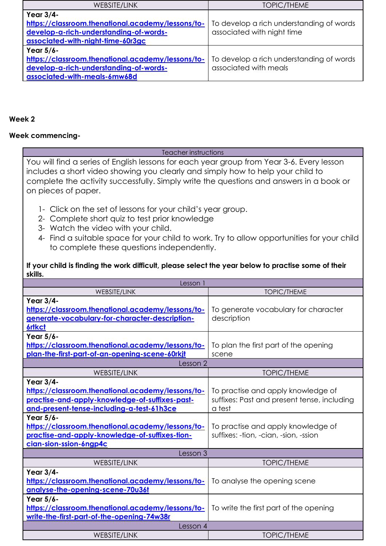| <b>WEBSITE/LINK</b>                               | <b>TOPIC/THEME</b>                       |
|---------------------------------------------------|------------------------------------------|
| Year 3/4-                                         |                                          |
| https://classroom.thenational.academy/lessons/to- | To develop a rich understanding of words |
| develop-a-rich-understanding-of-words-            | associated with night time               |
| associated-with-night-time-60r3gc                 |                                          |
| Year 5/6-                                         |                                          |
| https://classroom.thenational.academy/lessons/to- | To develop a rich understanding of words |
| develop-a-rich-understanding-of-words-            | associated with meals                    |
| associated-with-meals-6mw68d                      |                                          |

### **Week 2**

## **Week commencing-**

#### Teacher instructions

You will find a series of English lessons for each year group from Year 3-6. Every lesson includes a short video showing you clearly and simply how to help your child to complete the activity successfully. Simply write the questions and answers in a book or on pieces of paper.

- 1- Click on the set of lessons for your child's year group.
- 2- Complete short quiz to test prior knowledge
- 3- Watch the video with your child.
- 4- Find a suitable space for your child to work. Try to allow opportunities for your child to complete these questions independently.

### **If your child is finding the work difficult, please select the year below to practise some of their skills.**

| Lesson 1                                                                                                                                                      |                                                                                             |  |
|---------------------------------------------------------------------------------------------------------------------------------------------------------------|---------------------------------------------------------------------------------------------|--|
| <b>WEBSITE/LINK</b>                                                                                                                                           | <b>TOPIC/THEME</b>                                                                          |  |
| Year 3/4-<br>https://classroom.thenational.academy/lessons/to-<br>generate-vocabulary-for-character-description-                                              | To generate vocabulary for character<br>description                                         |  |
| <b>6rtkct</b>                                                                                                                                                 |                                                                                             |  |
| Year 5/6-<br>https://classroom.thenational.academy/lessons/to-<br>plan-the-first-part-of-an-opening-scene-60rkit                                              | To plan the first part of the opening<br>scene                                              |  |
| Lesson 2                                                                                                                                                      |                                                                                             |  |
| <b>WEBSITE/LINK</b>                                                                                                                                           | <b>TOPIC/THEME</b>                                                                          |  |
| Year 3/4-<br>https://classroom.thenational.academy/lessons/to-<br>practise-and-apply-knowledge-of-suffixes-past-<br>and-present-tense-including-a-test-61h3ce | To practise and apply knowledge of<br>suffixes: Past and present tense, including<br>a test |  |
| Year 5/6-<br>https://classroom.thenational.academy/lessons/to-<br>practise-and-apply-knowledge-of-suffixes-tion-<br>cian-sion-ssion-6ngp4c                    | To practise and apply knowledge of<br>suffixes: -tion, -cian, -sion, -ssion                 |  |
| Lesson 3                                                                                                                                                      |                                                                                             |  |
| <b>WEBSITE/LINK</b>                                                                                                                                           | <b>TOPIC/THEME</b>                                                                          |  |
| Year 3/4-<br>https://classroom.thenational.academy/lessons/to-<br>analyse-the-opening-scene-70u36t                                                            | To analyse the opening scene                                                                |  |
| Year 5/6-<br>https://classroom.thenational.academy/lessons/to-<br>write-the-first-part-of-the-opening-74w38r                                                  | To write the first part of the opening                                                      |  |
| Lesson 4                                                                                                                                                      |                                                                                             |  |
| <b>WEBSITE/LINK</b>                                                                                                                                           | <b>TOPIC/THEME</b>                                                                          |  |